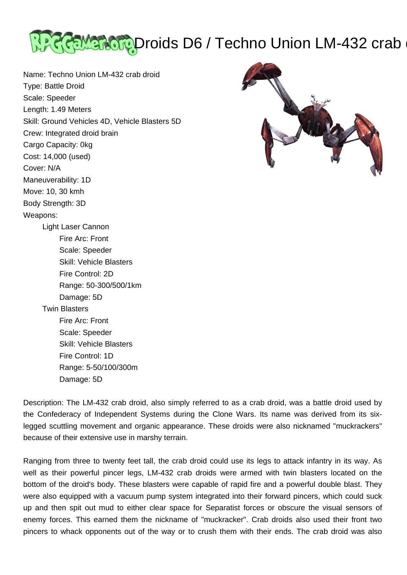

Name: Techno Union LM-432 crab droid Type: Battle Droid Scale: Speeder Length: 1.49 Meters Skill: Ground Vehicles 4D, Vehicle Blasters 5D Crew: Integrated droid brain Cargo Capacity: 0kg Cost: 14,000 (used) Cover: N/A Maneuverability: 1D Move: 10, 30 kmh Body Strength: 3D Weapons: Light Laser Cannon Fire Arc: Front Scale: Speeder Skill: Vehicle Blasters Fire Control: 2D Range: 50-300/500/1km Damage: 5D Twin Blasters Fire Arc: Front Scale: Speeder Skill: Vehicle Blasters Fire Control: 1D Range: 5-50/100/300m Damage: 5D



Description: The LM-432 crab droid, also simply referred to as a crab droid, was a battle droid used by the Confederacy of Independent Systems during the Clone Wars. Its name was derived from its sixlegged scuttling movement and organic appearance. These droids were also nicknamed "muckrackers" because of their extensive use in marshy terrain.

Ranging from three to twenty feet tall, the crab droid could use its legs to attack infantry in its way. As well as their powerful pincer legs, LM-432 crab droids were armed with twin blasters located on the bottom of the droid's body. These blasters were capable of rapid fire and a powerful double blast. They were also equipped with a vacuum pump system integrated into their forward pincers, which could suck up and then spit out mud to either clear space for Separatist forces or obscure the visual sensors of enemy forces. This earned them the nickname of "muckracker". Crab droids also used their front two pincers to whack opponents out of the way or to crush them with their ends. The crab droid was also